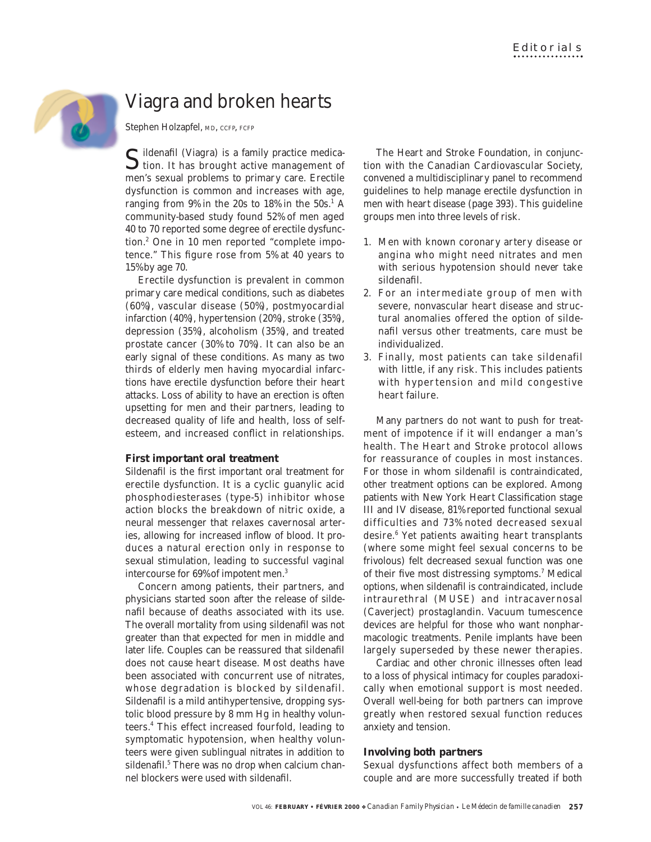

# Viagra and broken hearts

Stephen Holzapfel, MD, CCFP, FCFP

Sildenafil (Viagra) is a family practice medica- $\bigcup$  tion. It has brought active management of men's sexual problems to primary care. Erectile dysfunction is common and increases with age, ranging from  $9\%$  in the 20s to 18% in the  $50s.<sup>1</sup>$  A community-based study found 52% of men aged 40 to 70 reported some degree of erectile dysfunction.2 One in 10 men reported "complete impotence." This figure rose from 5% at 40 years to 15% by age 70.

Erectile dysfunction is prevalent in common primary care medical conditions, such as diabetes (60%), vascular disease (50%), postmyocardial infarction (40%), hypertension (20%), stroke (35%), depression (35%), alcoholism (35%), and treated prostate cancer (30% to 70%). It can also be an early signal of these conditions. As many as two thirds of elderly men having myocardial infarctions have erectile dysfunction before their heart attacks. Loss of ability to have an erection is often upsetting for men and their partners, leading to decreased quality of life and health, loss of selfesteem, and increased conflict in relationships.

## **First important oral treatment**

Sildenafil is the first important oral treatment for erectile dysfunction. It is a cyclic guanylic acid phosphodiesterases (type-5) inhibitor whose action blocks the breakdown of nitric oxide, a neural messenger that relaxes cavernosal arteries, allowing for increased inflow of blood. It produces a natural erection only in response to sexual stimulation, leading to successful vaginal intercourse for 69% of impotent men.3

Concern among patients, their partners, and physicians started soon after the release of sildenafil because of deaths associated with its use. The overall mortality from using sildenafil was not greater than that expected for men in middle and later life. Couples can be reassured that sildenafil does not *cause* heart disease. Most deaths have been associated with concurrent use of nitrates, whose degradation is blocked by sildenafil. Sildenafil is a mild antihypertensive, dropping systolic blood pressure by 8 mm Hg in healthy volunteers.4 This effect increased fourfold, leading to symptomatic hypotension, when healthy volunteers were given sublingual nitrates in addition to sildenafil.<sup>5</sup> There was no drop when calcium channel blockers were used with sildenafil.

The Heart and Stroke Foundation, in conjunction with the Canadian Cardiovascular Society, convened a multidisciplinary panel to recommend guidelines to help manage erectile dysfunction in men with heart disease (page 393). This guideline groups men into three levels of risk.

- 1. Men with known coronary artery disease or angina who might need nitrates and men with serious hypotension should *never* take sildenafil.
- 2. For an intermediate group of men with severe, nonvascular heart disease and structural anomalies offered the option of sildenafil versus other treatments, care must be individualized.
- 3. Finally, most patients can take sildenafil with little, if any risk. This includes patients with hypertension and mild congestive heart failure.

Many partners do not want to push for treatment of impotence if it will endanger a man's health. The Heart and Stroke protocol allows for reassurance of couples in most instances. For those in whom sildenafil is contraindicated, other treatment options can be explored. Among patients with New York Heart Classification stage III and IV disease, 81% reported functional sexual difficulties and 73% noted decreased sexual desire.6 Yet patients awaiting heart transplants (where some might feel sexual concerns to be frivolous) felt decreased sexual function was one of their five most distressing symptoms.<sup>7</sup> Medical options, when sildenafil is contraindicated, include intraurethral (MUSE) and intracavernosal (Caverject) prostaglandin. Vacuum tumescence devices are helpful for those who want nonpharmacologic treatments. Penile implants have been largely superseded by these newer therapies.

Cardiac and other chronic illnesses often lead to a loss of physical intimacy for couples paradoxically when emotional support is most needed. Overall well-being for both partners can improve greatly when restored sexual function reduces anxiety and tension.

# **Involving both partners**

Sexual dysfunctions affect both members of a couple and are more successfully treated if both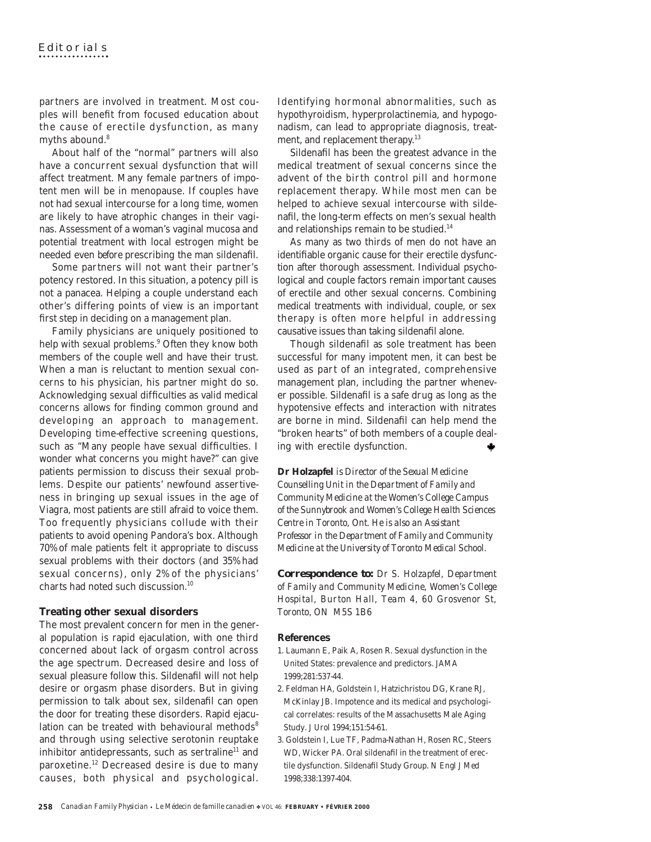partners are involved in treatment. Most couples will benefit from focused education about the cause of erectile dysfunction, as many myths abound.<sup>8</sup>

About half of the "normal" partners will also have a concurrent sexual dysfunction that will affect treatment. Many female partners of impotent men will be in menopause. If couples have not had sexual intercourse for a long time, women are likely to have atrophic changes in their vaginas. Assessment of a woman's vaginal mucosa and potential treatment with local estrogen might be needed even *before* prescribing the man sildenafil.

Some partners will not want their partner's potency restored. In this situation, a potency pill is not a panacea. Helping a couple understand each other's differing points of view is an important first step in deciding on a management plan.

Family physicians are uniquely positioned to help with sexual problems.<sup>9</sup> Often they know both members of the couple well and have their trust. When a man is reluctant to mention sexual concerns to his physician, his partner might do so. Acknowledging sexual difficulties as valid medical concerns allows for finding common ground and developing an approach to management. Developing time-effective screening questions, such as "Many people have sexual difficulties. I wonder what concerns you might have?" can give patients permission to discuss their sexual problems. Despite our patients' newfound assertiveness in bringing up sexual issues in the age of Viagra, most patients are still afraid to voice them. Too frequently physicians collude with their patients to avoid opening Pandora's box. Although 70% of male patients felt it appropriate to discuss sexual problems with their doctors (and 35% had sexual concerns), only 2% of the physicians' charts had noted such discussion.10

## **Treating other sexual disorders**

The most prevalent concern for men in the general population is rapid ejaculation, with one third concerned about lack of orgasm control across the age spectrum. Decreased desire and loss of sexual pleasure follow this. Sildenafil will not help desire or orgasm phase disorders. But in giving permission to talk about sex, sildenafil can open the door for treating these disorders. Rapid ejaculation can be treated with behavioural methods<sup>8</sup> and through using selective serotonin reuptake inhibitor antidepressants, such as sertraline<sup>11</sup> and paroxetine.<sup>12</sup> Decreased desire is due to many causes, both physical and psychological.

Identifying hormonal abnormalities, such as hypothyroidism, hyperprolactinemia, and hypogonadism, can lead to appropriate diagnosis, treatment, and replacement therapy.<sup>13</sup>

Sildenafil has been the greatest advance in the medical treatment of sexual concerns since the advent of the birth control pill and hormone replacement therapy. While most men can be helped to achieve sexual intercourse with sildenafil, the long-term effects on men's sexual health and relationships remain to be studied.<sup>14</sup>

As many as two thirds of men do not have an identifiable organic cause for their erectile dysfunction after thorough assessment. Individual psychological and couple factors remain important causes of erectile and other sexual concerns. Combining medical treatments with individual, couple, or sex therapy is often more helpful in addressing causative issues than taking sildenafil alone.

Though sildenafil as sole treatment has been successful for many impotent men, it can best be used as part of an integrated, comprehensive management plan, including the partner whenever possible. Sildenafil is a safe drug as long as the hypotensive effects and interaction with nitrates are borne in mind. Sildenafil can help mend the "broken hearts" of both members of a couple dealing with erectile dysfunction.

**Dr Holzapfel** *is Director of the Sexual Medicine Counselling Unit in the Department of Family and Community Medicine at the Women's College Campus of the Sunnybrook and Women's College Health Sciences Centre in Toronto, Ont. He is also an Assistant Professor in the Department of Family and Community Medicine at the University of Toronto Medical School.*

*Correspondence to: Dr S. Holzapfel, Department of Family and Community Medicine, Women's College Hospital, Burton Hall, Team 4, 60 Grosvenor St, Toronto, ON M5S 1B6*

#### **References**

- 1. Laumann E, Paik A, Rosen R. Sexual dysfunction in the United States: prevalence and predictors. *JAMA* 1999;281:537-44.
- 2. Feldman HA, Goldstein I, Hatzichristou DG, Krane RJ, McKinlay JB. Impotence and its medical and psychological correlates: results of the Massachusetts Male Aging Study. *J Urol* 1994;151:54-61.
- 3. Goldstein I, Lue TF, Padma-Nathan H, Rosen RC, Steers WD, Wicker PA. Oral sildenafil in the treatment of erectile dysfunction. Sildenafil Study Group. *N Engl J Med* 1998;338:1397-404.